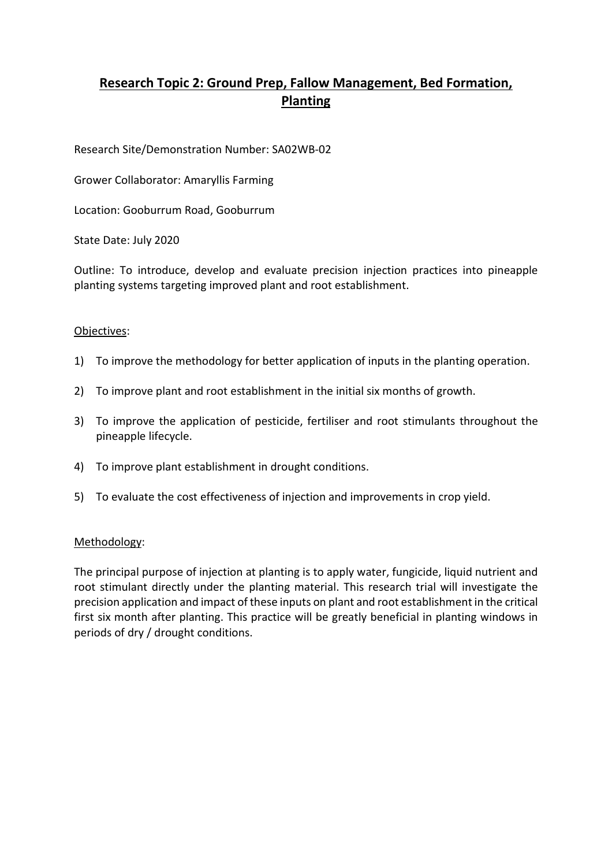# **Research Topic 2: Ground Prep, Fallow Management, Bed Formation, Planting**

Research Site/Demonstration Number: SA02WB-02

Grower Collaborator: Amaryllis Farming

Location: Gooburrum Road, Gooburrum

State Date: July 2020

Outline: To introduce, develop and evaluate precision injection practices into pineapple planting systems targeting improved plant and root establishment.

### Objectives:

- 1) To improve the methodology for better application of inputs in the planting operation.
- 2) To improve plant and root establishment in the initial six months of growth.
- 3) To improve the application of pesticide, fertiliser and root stimulants throughout the pineapple lifecycle.
- 4) To improve plant establishment in drought conditions.
- 5) To evaluate the cost effectiveness of injection and improvements in crop yield.

#### Methodology:

The principal purpose of injection at planting is to apply water, fungicide, liquid nutrient and root stimulant directly under the planting material. This research trial will investigate the precision application and impact of these inputs on plant and root establishment in the critical first six month after planting. This practice will be greatly beneficial in planting windows in periods of dry / drought conditions.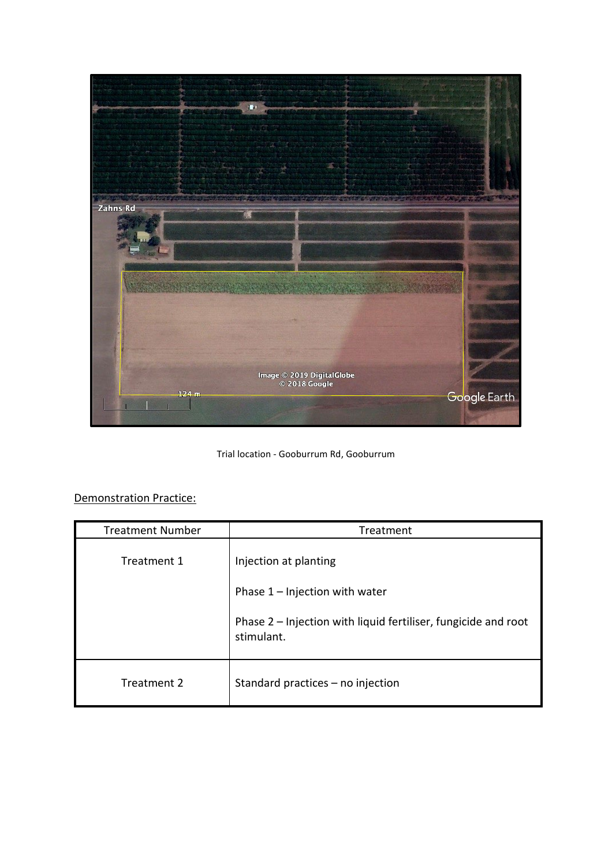

Trial location - Gooburrum Rd, Gooburrum

# Demonstration Practice:

| <b>Treatment Number</b> | Treatment                                                                                                                                 |
|-------------------------|-------------------------------------------------------------------------------------------------------------------------------------------|
| Treatment 1             | Injection at planting<br>Phase $1$ – Injection with water<br>Phase 2 - Injection with liquid fertiliser, fungicide and root<br>stimulant. |
| Treatment 2             | Standard practices - no injection                                                                                                         |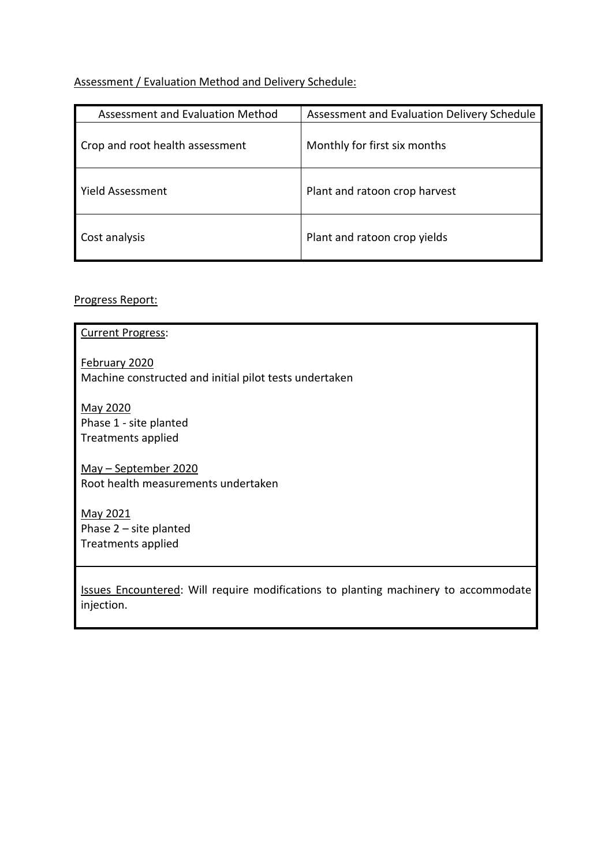# Assessment / Evaluation Method and Delivery Schedule:

| Assessment and Evaluation Method | Assessment and Evaluation Delivery Schedule |
|----------------------------------|---------------------------------------------|
| Crop and root health assessment  | Monthly for first six months                |
| Yield Assessment                 | Plant and ratoon crop harvest               |
| Cost analysis                    | Plant and ratoon crop yields                |

# Progress Report:

| <b>Current Progress:</b>                                                                          |
|---------------------------------------------------------------------------------------------------|
| February 2020<br>Machine constructed and initial pilot tests undertaken                           |
| May 2020<br>Phase 1 - site planted<br>Treatments applied                                          |
| May - September 2020<br>Root health measurements undertaken                                       |
| May 2021<br>Phase $2$ – site planted<br>Treatments applied                                        |
| Issues Encountered: Will require modifications to planting machinery to accommodate<br>injection. |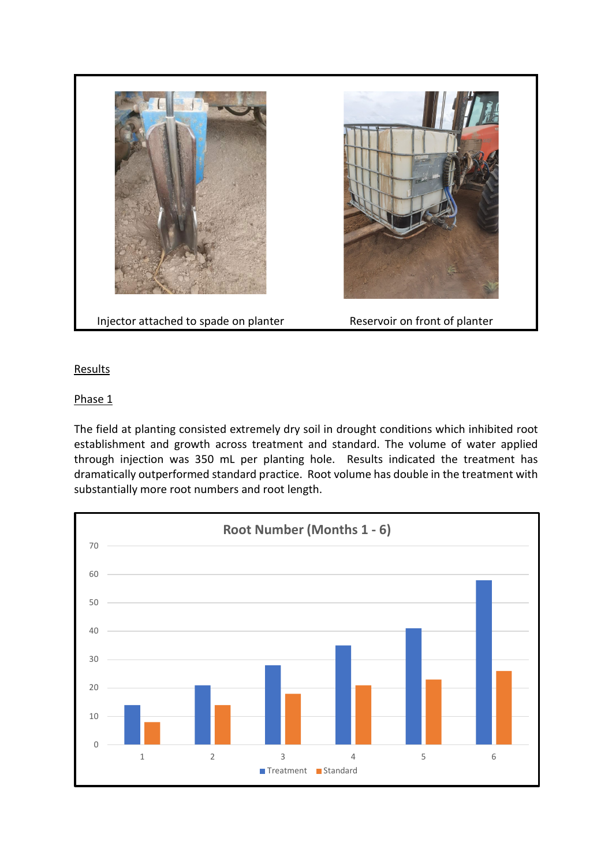

## **Results**

### Phase 1

The field at planting consisted extremely dry soil in drought conditions which inhibited root establishment and growth across treatment and standard. The volume of water applied through injection was 350 mL per planting hole. Results indicated the treatment has dramatically outperformed standard practice. Root volume has double in the treatment with substantially more root numbers and root length.